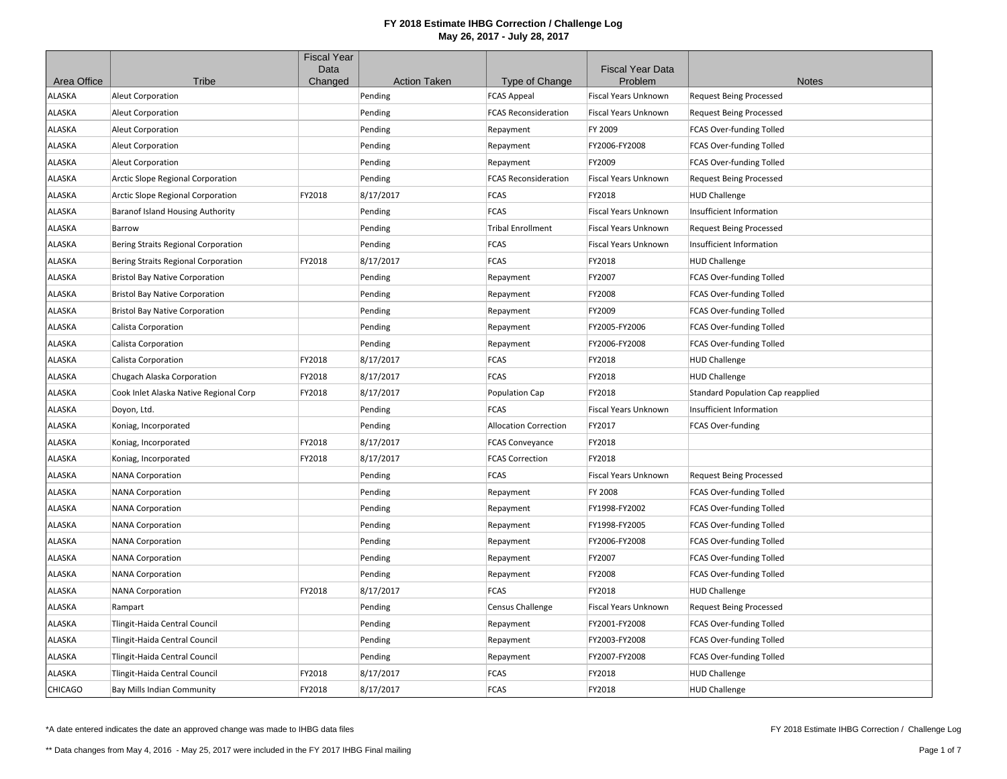|                |                                         | <b>Fiscal Year</b><br>Data |                     |                              | <b>Fiscal Year Data</b>     |                                          |
|----------------|-----------------------------------------|----------------------------|---------------------|------------------------------|-----------------------------|------------------------------------------|
| Area Office    | Tribe                                   | Changed                    | <b>Action Taken</b> | Type of Change               | Problem                     | <b>Notes</b>                             |
| ALASKA         | <b>Aleut Corporation</b>                |                            | Pending             | <b>FCAS Appeal</b>           | Fiscal Years Unknown        | <b>Request Being Processed</b>           |
| ALASKA         | <b>Aleut Corporation</b>                |                            | Pending             | <b>FCAS Reconsideration</b>  | <b>Fiscal Years Unknown</b> | <b>Request Being Processed</b>           |
| ALASKA         | <b>Aleut Corporation</b>                |                            | Pending             | Repayment                    | FY 2009                     | FCAS Over-funding Tolled                 |
| ALASKA         | <b>Aleut Corporation</b>                |                            | Pending             | Repayment                    | FY2006-FY2008               | FCAS Over-funding Tolled                 |
| ALASKA         | <b>Aleut Corporation</b>                |                            | Pending             | Repayment                    | FY2009                      | FCAS Over-funding Tolled                 |
| ALASKA         | Arctic Slope Regional Corporation       |                            | Pending             | <b>FCAS Reconsideration</b>  | <b>Fiscal Years Unknown</b> | <b>Request Being Processed</b>           |
| ALASKA         | Arctic Slope Regional Corporation       | FY2018                     | 8/17/2017           | FCAS                         | FY2018                      | <b>HUD Challenge</b>                     |
| ALASKA         | <b>Baranof Island Housing Authority</b> |                            | Pending             | FCAS                         | Fiscal Years Unknown        | Insufficient Information                 |
| ALASKA         | Barrow                                  |                            | Pending             | <b>Tribal Enrollment</b>     | Fiscal Years Unknown        | <b>Request Being Processed</b>           |
| ALASKA         | Bering Straits Regional Corporation     |                            | Pending             | <b>FCAS</b>                  | <b>Fiscal Years Unknown</b> | Insufficient Information                 |
| ALASKA         | Bering Straits Regional Corporation     | FY2018                     | 8/17/2017           | <b>FCAS</b>                  | FY2018                      | <b>HUD Challenge</b>                     |
| ALASKA         | <b>Bristol Bay Native Corporation</b>   |                            | Pending             | Repayment                    | FY2007                      | <b>FCAS Over-funding Tolled</b>          |
| ALASKA         | <b>Bristol Bay Native Corporation</b>   |                            | Pending             | Repayment                    | FY2008                      | <b>FCAS Over-funding Tolled</b>          |
| ALASKA         | <b>Bristol Bay Native Corporation</b>   |                            | Pending             | Repayment                    | FY2009                      | FCAS Over-funding Tolled                 |
| ALASKA         | Calista Corporation                     |                            | Pending             | Repayment                    | FY2005-FY2006               | FCAS Over-funding Tolled                 |
| ALASKA         | <b>Calista Corporation</b>              |                            | Pending             | Repayment                    | FY2006-FY2008               | FCAS Over-funding Tolled                 |
| ALASKA         | Calista Corporation                     | FY2018                     | 8/17/2017           | FCAS                         | FY2018                      | <b>HUD Challenge</b>                     |
| <b>ALASKA</b>  | Chugach Alaska Corporation              | FY2018                     | 8/17/2017           | <b>FCAS</b>                  | FY2018                      | <b>HUD Challenge</b>                     |
| <b>ALASKA</b>  | Cook Inlet Alaska Native Regional Corp  | FY2018                     | 8/17/2017           | Population Cap               | FY2018                      | <b>Standard Population Cap reapplied</b> |
| ALASKA         | Doyon, Ltd.                             |                            | Pending             | FCAS                         | <b>Fiscal Years Unknown</b> | Insufficient Information                 |
| <b>ALASKA</b>  | Koniag, Incorporated                    |                            | Pending             | <b>Allocation Correction</b> | FY2017                      | FCAS Over-funding                        |
| <b>ALASKA</b>  | Koniag, Incorporated                    | FY2018                     | 8/17/2017           | <b>FCAS Conveyance</b>       | FY2018                      |                                          |
| ALASKA         | Koniag, Incorporated                    | FY2018                     | 8/17/2017           | <b>FCAS Correction</b>       | FY2018                      |                                          |
| ALASKA         | <b>NANA Corporation</b>                 |                            | Pending             | <b>FCAS</b>                  | <b>Fiscal Years Unknown</b> | <b>Request Being Processed</b>           |
| ALASKA         | <b>NANA Corporation</b>                 |                            | Pending             | Repayment                    | <b>FY 2008</b>              | FCAS Over-funding Tolled                 |
| ALASKA         | <b>NANA Corporation</b>                 |                            | Pending             | Repayment                    | FY1998-FY2002               | FCAS Over-funding Tolled                 |
| ALASKA         | <b>NANA Corporation</b>                 |                            | Pending             | Repayment                    | FY1998-FY2005               | <b>FCAS Over-funding Tolled</b>          |
| <b>ALASKA</b>  | <b>NANA Corporation</b>                 |                            | Pending             | Repayment                    | FY2006-FY2008               | FCAS Over-funding Tolled                 |
| <b>ALASKA</b>  | <b>NANA Corporation</b>                 |                            | Pending             | Repayment                    | FY2007                      | FCAS Over-funding Tolled                 |
| <b>ALASKA</b>  | <b>NANA Corporation</b>                 |                            | Pending             | Repayment                    | FY2008                      | <b>FCAS Over-funding Tolled</b>          |
| ALASKA         | <b>NANA Corporation</b>                 | FY2018                     | 8/17/2017           | FCAS                         | FY2018                      | <b>HUD Challenge</b>                     |
| <b>ALASKA</b>  | Rampart                                 |                            | Pending             | <b>Census Challenge</b>      | <b>Fiscal Years Unknown</b> | <b>Request Being Processed</b>           |
| ALASKA         | Tlingit-Haida Central Council           |                            | Pending             | Repayment                    | FY2001-FY2008               | FCAS Over-funding Tolled                 |
| <b>ALASKA</b>  | Tlingit-Haida Central Council           |                            | Pending             | Repayment                    | FY2003-FY2008               | FCAS Over-funding Tolled                 |
| ALASKA         | Tlingit-Haida Central Council           |                            | Pending             | Repayment                    | FY2007-FY2008               | FCAS Over-funding Tolled                 |
| ALASKA         | Tlingit-Haida Central Council           | FY2018                     | 8/17/2017           | FCAS                         | FY2018                      | <b>HUD Challenge</b>                     |
| <b>CHICAGO</b> | <b>Bay Mills Indian Community</b>       | FY2018                     | 8/17/2017           | <b>FCAS</b>                  | FY2018                      | <b>HUD Challenge</b>                     |

\*A date entered indicates the date an approved change was made to IHBG data files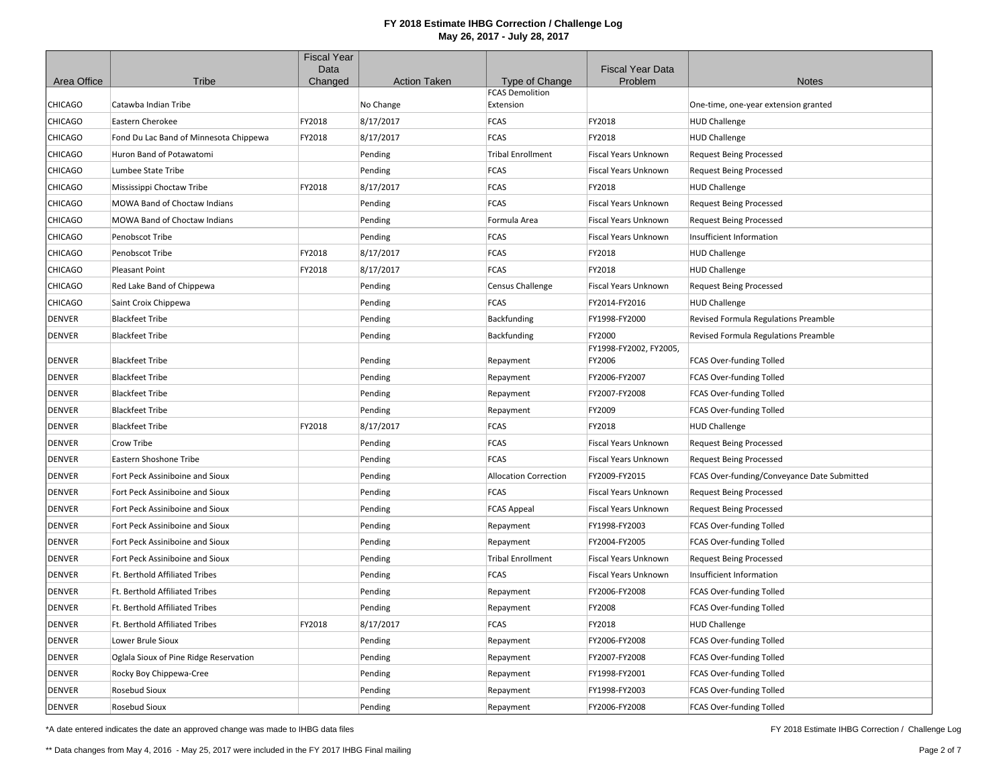|                |                                        | <b>Fiscal Year</b> |                     |                              |                                    |                                             |
|----------------|----------------------------------------|--------------------|---------------------|------------------------------|------------------------------------|---------------------------------------------|
| Area Office    | Tribe                                  | Data<br>Changed    | <b>Action Taken</b> | Type of Change               | <b>Fiscal Year Data</b><br>Problem | <b>Notes</b>                                |
|                |                                        |                    |                     | <b>FCAS Demolition</b>       |                                    |                                             |
| CHICAGO        | Catawba Indian Tribe                   |                    | No Change           | Extension                    |                                    | One-time, one-year extension granted        |
| CHICAGO        | Eastern Cherokee                       | FY2018             | 8/17/2017           | FCAS                         | FY2018                             | <b>HUD Challenge</b>                        |
| CHICAGO        | Fond Du Lac Band of Minnesota Chippewa | FY2018             | 8/17/2017           | <b>FCAS</b>                  | FY2018                             | <b>HUD Challenge</b>                        |
| <b>CHICAGO</b> | Huron Band of Potawatomi               |                    | Pending             | <b>Tribal Enrollment</b>     | Fiscal Years Unknown               | <b>Request Being Processed</b>              |
| CHICAGO        | Lumbee State Tribe                     |                    | Pending             | <b>FCAS</b>                  | Fiscal Years Unknown               | <b>Request Being Processed</b>              |
| CHICAGO        | Mississippi Choctaw Tribe              | FY2018             | 8/17/2017           | <b>FCAS</b>                  | FY2018                             | <b>HUD Challenge</b>                        |
| CHICAGO        | MOWA Band of Choctaw Indians           |                    | Pending             | <b>FCAS</b>                  | Fiscal Years Unknown               | <b>Request Being Processed</b>              |
| CHICAGO        | <b>MOWA Band of Choctaw Indians</b>    |                    | Pending             | Formula Area                 | Fiscal Years Unknown               | <b>Request Being Processed</b>              |
| CHICAGO        | Penobscot Tribe                        |                    | Pending             | <b>FCAS</b>                  | Fiscal Years Unknown               | Insufficient Information                    |
| CHICAGO        | Penobscot Tribe                        | FY2018             | 8/17/2017           | <b>FCAS</b>                  | FY2018                             | <b>HUD Challenge</b>                        |
| <b>CHICAGO</b> | Pleasant Point                         | FY2018             | 8/17/2017           | <b>FCAS</b>                  | FY2018                             | <b>HUD Challenge</b>                        |
| CHICAGO        | Red Lake Band of Chippewa              |                    | Pending             | <b>Census Challenge</b>      | Fiscal Years Unknown               | <b>Request Being Processed</b>              |
| CHICAGO        | Saint Croix Chippewa                   |                    | Pending             | <b>FCAS</b>                  | FY2014-FY2016                      | <b>HUD Challenge</b>                        |
| <b>DENVER</b>  | <b>Blackfeet Tribe</b>                 |                    | Pending             | Backfunding                  | FY1998-FY2000                      | Revised Formula Regulations Preamble        |
| <b>DENVER</b>  | <b>Blackfeet Tribe</b>                 |                    | Pending             | Backfunding                  | FY2000                             | Revised Formula Regulations Preamble        |
|                |                                        |                    |                     |                              | FY1998-FY2002, FY2005,             |                                             |
| <b>DENVER</b>  | <b>Blackfeet Tribe</b>                 |                    | Pending             | Repayment                    | FY2006                             | FCAS Over-funding Tolled                    |
| <b>DENVER</b>  | <b>Blackfeet Tribe</b>                 |                    | Pending             | Repayment                    | FY2006-FY2007                      | FCAS Over-funding Tolled                    |
| <b>DENVER</b>  | <b>Blackfeet Tribe</b>                 |                    | Pending             | Repayment                    | FY2007-FY2008                      | FCAS Over-funding Tolled                    |
| <b>DENVER</b>  | <b>Blackfeet Tribe</b>                 |                    | Pending             | Repayment                    | FY2009                             | FCAS Over-funding Tolled                    |
| <b>DENVER</b>  | <b>Blackfeet Tribe</b>                 | FY2018             | 8/17/2017           | <b>FCAS</b>                  | FY2018                             | <b>HUD Challenge</b>                        |
| <b>DENVER</b>  | Crow Tribe                             |                    | Pending             | <b>FCAS</b>                  | Fiscal Years Unknown               | <b>Request Being Processed</b>              |
| <b>DENVER</b>  | Eastern Shoshone Tribe                 |                    | Pending             | <b>FCAS</b>                  | Fiscal Years Unknown               | <b>Request Being Processed</b>              |
| <b>DENVER</b>  | Fort Peck Assiniboine and Sioux        |                    | Pending             | <b>Allocation Correction</b> | FY2009-FY2015                      | FCAS Over-funding/Conveyance Date Submitted |
| DENVER         | Fort Peck Assiniboine and Sioux        |                    | Pending             | <b>FCAS</b>                  | Fiscal Years Unknown               | <b>Request Being Processed</b>              |
| <b>DENVER</b>  | Fort Peck Assiniboine and Sioux        |                    | Pending             | <b>FCAS Appeal</b>           | Fiscal Years Unknown               | <b>Request Being Processed</b>              |
| DENVER         | Fort Peck Assiniboine and Sioux        |                    | Pending             | Repayment                    | FY1998-FY2003                      | FCAS Over-funding Tolled                    |
| <b>DENVER</b>  | Fort Peck Assiniboine and Sioux        |                    | Pending             | Repayment                    | FY2004-FY2005                      | FCAS Over-funding Tolled                    |
| <b>DENVER</b>  | Fort Peck Assiniboine and Sioux        |                    | Pending             | <b>Tribal Enrollment</b>     | Fiscal Years Unknown               | <b>Request Being Processed</b>              |
| <b>DENVER</b>  | Ft. Berthold Affiliated Tribes         |                    | Pending             | <b>FCAS</b>                  | Fiscal Years Unknown               | Insufficient Information                    |
| DENVER         | Ft. Berthold Affiliated Tribes         |                    | Pending             | Repayment                    | FY2006-FY2008                      | FCAS Over-funding Tolled                    |
| <b>DENVER</b>  | <b>Ft. Berthold Affiliated Tribes</b>  |                    | Pending             | Repayment                    | FY2008                             | FCAS Over-funding Tolled                    |
| <b>DENVER</b>  | Ft. Berthold Affiliated Tribes         | FY2018             | 8/17/2017           | <b>FCAS</b>                  | FY2018                             | <b>HUD Challenge</b>                        |
| <b>DENVER</b>  | Lower Brule Sioux                      |                    | Pending             | Repayment                    | FY2006-FY2008                      | FCAS Over-funding Tolled                    |
| <b>DENVER</b>  | Oglala Sioux of Pine Ridge Reservation |                    | Pending             | Repayment                    | FY2007-FY2008                      | FCAS Over-funding Tolled                    |
| <b>DENVER</b>  | Rocky Boy Chippewa-Cree                |                    | Pending             | Repayment                    | FY1998-FY2001                      | FCAS Over-funding Tolled                    |
| <b>DENVER</b>  | Rosebud Sioux                          |                    | Pending             | Repayment                    | FY1998-FY2003                      | FCAS Over-funding Tolled                    |
| <b>DENVER</b>  | Rosebud Sioux                          |                    | Pending             | Repayment                    | FY2006-FY2008                      | <b>FCAS Over-funding Tolled</b>             |

\*A date entered indicates the date an approved change was made to IHBG data files

FY 2018 Estimate IHBG Correction / Challenge Log

\*\* Data changes from May 4, 2016 - May 25, 2017 were included in the FY 2017 IHBG Final mailing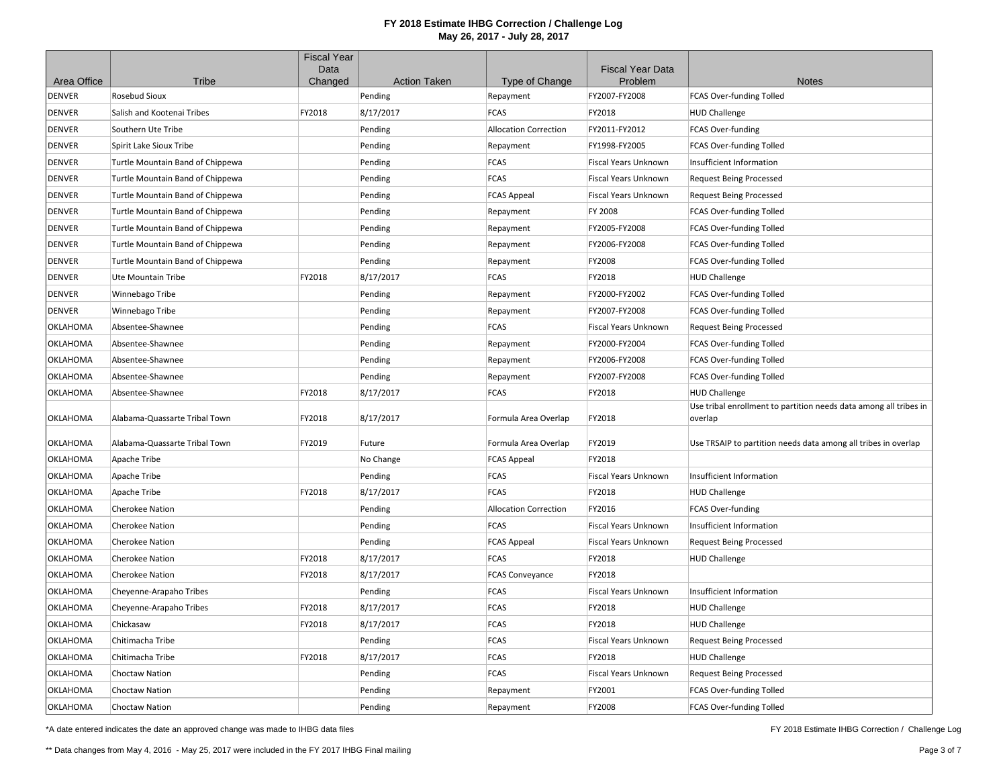|               |                                  | <b>Fiscal Year</b><br>Data |                     |                              | <b>Fiscal Year Data</b> |                                                                              |
|---------------|----------------------------------|----------------------------|---------------------|------------------------------|-------------------------|------------------------------------------------------------------------------|
| Area Office   | Tribe                            | Changed                    | <b>Action Taken</b> | Type of Change               | Problem                 | <b>Notes</b>                                                                 |
| DENVER        | Rosebud Sioux                    |                            | Pending             | Repayment                    | FY2007-FY2008           | FCAS Over-funding Tolled                                                     |
| <b>DENVER</b> | Salish and Kootenai Tribes       | FY2018                     | 8/17/2017           | <b>FCAS</b>                  | FY2018                  | <b>HUD Challenge</b>                                                         |
| <b>DENVER</b> | Southern Ute Tribe               |                            | Pending             | <b>Allocation Correction</b> | FY2011-FY2012           | FCAS Over-funding                                                            |
| <b>DENVER</b> | Spirit Lake Sioux Tribe          |                            | Pending             | Repayment                    | FY1998-FY2005           | FCAS Over-funding Tolled                                                     |
| DENVER        | Turtle Mountain Band of Chippewa |                            | Pending             | <b>FCAS</b>                  | Fiscal Years Unknown    | Insufficient Information                                                     |
| DENVER        | Turtle Mountain Band of Chippewa |                            | Pending             | <b>FCAS</b>                  | Fiscal Years Unknown    | <b>Request Being Processed</b>                                               |
| <b>DENVER</b> | Turtle Mountain Band of Chippewa |                            | Pending             | <b>FCAS Appeal</b>           | Fiscal Years Unknown    | <b>Request Being Processed</b>                                               |
| DENVER        | Turtle Mountain Band of Chippewa |                            | Pending             | Repayment                    | FY 2008                 | FCAS Over-funding Tolled                                                     |
| <b>DENVER</b> | Turtle Mountain Band of Chippewa |                            | Pending             | Repayment                    | FY2005-FY2008           | FCAS Over-funding Tolled                                                     |
| <b>DENVER</b> | Turtle Mountain Band of Chippewa |                            | Pending             | Repayment                    | FY2006-FY2008           | FCAS Over-funding Tolled                                                     |
| <b>DENVER</b> | Turtle Mountain Band of Chippewa |                            | Pending             | Repayment                    | FY2008                  | FCAS Over-funding Tolled                                                     |
| <b>DENVER</b> | Ute Mountain Tribe               | FY2018                     | 8/17/2017           | <b>FCAS</b>                  | FY2018                  | <b>HUD Challenge</b>                                                         |
| DENVER        | Winnebago Tribe                  |                            | Pending             | Repayment                    | FY2000-FY2002           | FCAS Over-funding Tolled                                                     |
| <b>DENVER</b> | Winnebago Tribe                  |                            | Pending             | Repayment                    | FY2007-FY2008           | FCAS Over-funding Tolled                                                     |
| OKLAHOMA      | Absentee-Shawnee                 |                            | Pending             | <b>FCAS</b>                  | Fiscal Years Unknown    | <b>Request Being Processed</b>                                               |
| OKLAHOMA      | Absentee-Shawnee                 |                            | Pending             | Repayment                    | FY2000-FY2004           | FCAS Over-funding Tolled                                                     |
| OKLAHOMA      | Absentee-Shawnee                 |                            | Pending             | Repayment                    | FY2006-FY2008           | FCAS Over-funding Tolled                                                     |
| OKLAHOMA      | Absentee-Shawnee                 |                            | Pending             | Repayment                    | FY2007-FY2008           | FCAS Over-funding Tolled                                                     |
| OKLAHOMA      | Absentee-Shawnee                 | FY2018                     | 8/17/2017           | <b>FCAS</b>                  | FY2018                  | <b>HUD Challenge</b>                                                         |
| OKLAHOMA      | Alabama-Quassarte Tribal Town    | FY2018                     | 8/17/2017           | Formula Area Overlap         | FY2018                  | Use tribal enrollment to partition needs data among all tribes in<br>overlap |
| OKLAHOMA      | Alabama-Quassarte Tribal Town    | FY2019                     | Future              | Formula Area Overlap         | FY2019                  | Use TRSAIP to partition needs data among all tribes in overlap               |
| OKLAHOMA      | Apache Tribe                     |                            | No Change           | <b>FCAS Appeal</b>           | FY2018                  |                                                                              |
| OKLAHOMA      | <b>Apache Tribe</b>              |                            | Pending             | <b>FCAS</b>                  | Fiscal Years Unknown    | Insufficient Information                                                     |
| OKLAHOMA      | <b>Apache Tribe</b>              | FY2018                     | 8/17/2017           | <b>FCAS</b>                  | FY2018                  | <b>HUD Challenge</b>                                                         |
| OKLAHOMA      | <b>Cherokee Nation</b>           |                            | Pending             | <b>Allocation Correction</b> | FY2016                  | FCAS Over-funding                                                            |
| OKLAHOMA      | <b>Cherokee Nation</b>           |                            | Pending             | <b>FCAS</b>                  | Fiscal Years Unknown    | Insufficient Information                                                     |
| OKLAHOMA      | <b>Cherokee Nation</b>           |                            | Pending             | <b>FCAS Appeal</b>           | Fiscal Years Unknown    | <b>Request Being Processed</b>                                               |
| OKLAHOMA      | Cherokee Nation                  | FY2018                     | 8/17/2017           | <b>FCAS</b>                  | FY2018                  | <b>HUD Challenge</b>                                                         |
| OKLAHOMA      | Cherokee Nation                  | FY2018                     | 8/17/2017           | <b>FCAS Conveyance</b>       | FY2018                  |                                                                              |
| OKLAHOMA      | Cheyenne-Arapaho Tribes          |                            | Pending             | <b>FCAS</b>                  | Fiscal Years Unknown    | Insufficient Information                                                     |
| OKLAHOMA      | Cheyenne-Arapaho Tribes          | FY2018                     | 8/17/2017           | <b>FCAS</b>                  | FY2018                  | <b>HUD Challenge</b>                                                         |
| OKLAHOMA      | Chickasaw                        | FY2018                     | 8/17/2017           | <b>FCAS</b>                  | FY2018                  | <b>HUD Challenge</b>                                                         |
| OKLAHOMA      | Chitimacha Tribe                 |                            | Pending             | <b>FCAS</b>                  | Fiscal Years Unknown    | <b>Request Being Processed</b>                                               |
| OKLAHOMA      | Chitimacha Tribe                 | FY2018                     | 8/17/2017           | <b>FCAS</b>                  | FY2018                  | <b>HUD Challenge</b>                                                         |
| OKLAHOMA      | <b>Choctaw Nation</b>            |                            | Pending             | <b>FCAS</b>                  | Fiscal Years Unknown    | <b>Request Being Processed</b>                                               |
| OKLAHOMA      | <b>Choctaw Nation</b>            |                            | Pending             | Repayment                    | FY2001                  | FCAS Over-funding Tolled                                                     |
| OKLAHOMA      | Choctaw Nation                   |                            | Pending             | Repayment                    | FY2008                  | FCAS Over-funding Tolled                                                     |

\*A date entered indicates the date an approved change was made to IHBG data files

FY 2018 Estimate IHBG Correction / Challenge Log

\*\* Data changes from May 4, 2016 - May 25, 2017 were included in the FY 2017 IHBG Final mailing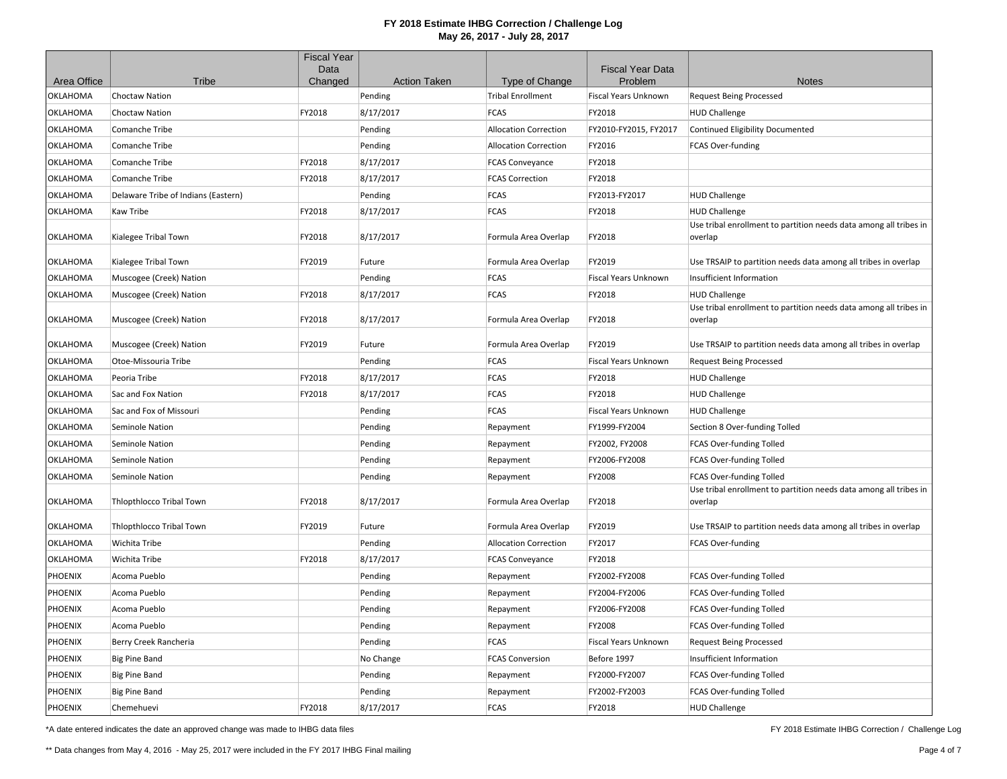|                 |                                     | <b>Fiscal Year</b> |                     |                              |                                    |                                                                                           |
|-----------------|-------------------------------------|--------------------|---------------------|------------------------------|------------------------------------|-------------------------------------------------------------------------------------------|
| Area Office     | Tribe                               | Data<br>Changed    | <b>Action Taken</b> | Type of Change               | <b>Fiscal Year Data</b><br>Problem | <b>Notes</b>                                                                              |
| <b>OKLAHOMA</b> | <b>Choctaw Nation</b>               |                    | Pending             | <b>Tribal Enrollment</b>     | Fiscal Years Unknown               | <b>Request Being Processed</b>                                                            |
| <b>OKLAHOMA</b> | <b>Choctaw Nation</b>               | FY2018             | 8/17/2017           | <b>FCAS</b>                  | FY2018                             | <b>HUD Challenge</b>                                                                      |
| <b>OKLAHOMA</b> | Comanche Tribe                      |                    | Pending             | <b>Allocation Correction</b> | FY2010-FY2015, FY2017              | Continued Eligibility Documented                                                          |
| OKLAHOMA        | Comanche Tribe                      |                    | Pending             | <b>Allocation Correction</b> | FY2016                             | FCAS Over-funding                                                                         |
| OKLAHOMA        | Comanche Tribe                      | FY2018             | 8/17/2017           | <b>FCAS Conveyance</b>       | FY2018                             |                                                                                           |
| <b>OKLAHOMA</b> | <b>Comanche Tribe</b>               | FY2018             | 8/17/2017           | <b>FCAS Correction</b>       | FY2018                             |                                                                                           |
| OKLAHOMA        | Delaware Tribe of Indians (Eastern) |                    | Pending             | <b>FCAS</b>                  | FY2013-FY2017                      | <b>HUD Challenge</b>                                                                      |
| <b>OKLAHOMA</b> | Kaw Tribe                           | FY2018             | 8/17/2017           | <b>FCAS</b>                  | FY2018                             | <b>HUD Challenge</b>                                                                      |
|                 |                                     |                    |                     |                              |                                    | Use tribal enrollment to partition needs data among all tribes in                         |
| OKLAHOMA        | Kialegee Tribal Town                | FY2018             | 8/17/2017           | Formula Area Overlap         | FY2018                             | overlap                                                                                   |
| OKLAHOMA        |                                     | FY2019             |                     |                              | FY2019                             |                                                                                           |
|                 | Kialegee Tribal Town                |                    | Future              | Formula Area Overlap         |                                    | Use TRSAIP to partition needs data among all tribes in overlap                            |
| OKLAHOMA        | Muscogee (Creek) Nation             |                    | Pending             | <b>FCAS</b>                  | Fiscal Years Unknown               | Insufficient Information                                                                  |
| OKLAHOMA        | Muscogee (Creek) Nation             | FY2018             | 8/17/2017           | <b>FCAS</b>                  | FY2018                             | <b>HUD Challenge</b><br>Use tribal enrollment to partition needs data among all tribes in |
| OKLAHOMA        | Muscogee (Creek) Nation             | FY2018             | 8/17/2017           | Formula Area Overlap         | FY2018                             | overlap                                                                                   |
|                 |                                     |                    |                     |                              |                                    |                                                                                           |
| OKLAHOMA        | Muscogee (Creek) Nation             | FY2019             | Future              | Formula Area Overlap         | FY2019                             | Use TRSAIP to partition needs data among all tribes in overlap                            |
| OKLAHOMA        | Otoe-Missouria Tribe                |                    | Pending             | <b>FCAS</b>                  | <b>Fiscal Years Unknown</b>        | <b>Request Being Processed</b>                                                            |
| OKLAHOMA        | Peoria Tribe                        | FY2018             | 8/17/2017           | <b>FCAS</b>                  | FY2018                             | <b>HUD Challenge</b>                                                                      |
| OKLAHOMA        | Sac and Fox Nation                  | FY2018             | 8/17/2017           | <b>FCAS</b>                  | FY2018                             | <b>HUD Challenge</b>                                                                      |
| OKLAHOMA        | Sac and Fox of Missouri             |                    | Pending             | <b>FCAS</b>                  | <b>Fiscal Years Unknown</b>        | <b>HUD Challenge</b>                                                                      |
| OKLAHOMA        | Seminole Nation                     |                    | Pending             | Repayment                    | FY1999-FY2004                      | Section 8 Over-funding Tolled                                                             |
| OKLAHOMA        | Seminole Nation                     |                    | Pending             | Repayment                    | FY2002, FY2008                     | FCAS Over-funding Tolled                                                                  |
| <b>OKLAHOMA</b> | Seminole Nation                     |                    | Pending             | Repayment                    | FY2006-FY2008                      | FCAS Over-funding Tolled                                                                  |
| <b>OKLAHOMA</b> | Seminole Nation                     |                    | Pending             | Repayment                    | FY2008                             | FCAS Over-funding Tolled                                                                  |
|                 |                                     |                    |                     |                              |                                    | Use tribal enrollment to partition needs data among all tribes in                         |
| <b>OKLAHOMA</b> | Thlopthlocco Tribal Town            | FY2018             | 8/17/2017           | Formula Area Overlap         | FY2018                             | overlap                                                                                   |
| OKLAHOMA        | <b>Thiopthiocco Tribal Town</b>     | FY2019             | Future              | Formula Area Overlap         | FY2019                             | Use TRSAIP to partition needs data among all tribes in overlap                            |
| OKLAHOMA        | Wichita Tribe                       |                    | Pending             | <b>Allocation Correction</b> | FY2017                             | FCAS Over-funding                                                                         |
| <b>OKLAHOMA</b> | Wichita Tribe                       | FY2018             | 8/17/2017           | <b>FCAS Conveyance</b>       | FY2018                             |                                                                                           |
| <b>PHOENIX</b>  | Acoma Pueblo                        |                    | Pending             | Repayment                    | FY2002-FY2008                      | FCAS Over-funding Tolled                                                                  |
| <b>PHOENIX</b>  | Acoma Pueblo                        |                    | Pending             | Repayment                    | FY2004-FY2006                      | FCAS Over-funding Tolled                                                                  |
| <b>PHOENIX</b>  | Acoma Pueblo                        |                    | Pending             | Repayment                    | FY2006-FY2008                      | FCAS Over-funding Tolled                                                                  |
| <b>PHOENIX</b>  | Acoma Pueblo                        |                    | Pending             | Repayment                    | FY2008                             | FCAS Over-funding Tolled                                                                  |
| <b>PHOENIX</b>  | Berry Creek Rancheria               |                    | Pending             | <b>FCAS</b>                  | Fiscal Years Unknown               | <b>Request Being Processed</b>                                                            |
| <b>PHOENIX</b>  | <b>Big Pine Band</b>                |                    | No Change           | <b>FCAS Conversion</b>       | Before 1997                        | Insufficient Information                                                                  |
| <b>PHOENIX</b>  | <b>Big Pine Band</b>                |                    | Pending             | Repayment                    | FY2000-FY2007                      | FCAS Over-funding Tolled                                                                  |
| <b>PHOENIX</b>  | <b>Big Pine Band</b>                |                    | Pending             | Repayment                    | FY2002-FY2003                      | FCAS Over-funding Tolled                                                                  |
| <b>PHOENIX</b>  | Chemehuevi                          | FY2018             | 8/17/2017           | <b>FCAS</b>                  | FY2018                             | <b>HUD Challenge</b>                                                                      |

\*A date entered indicates the date an approved change was made to IHBG data files

FY 2018 Estimate IHBG Correction / Challenge Log

\*\* Data changes from May 4, 2016 - May 25, 2017 were included in the FY 2017 IHBG Final mailing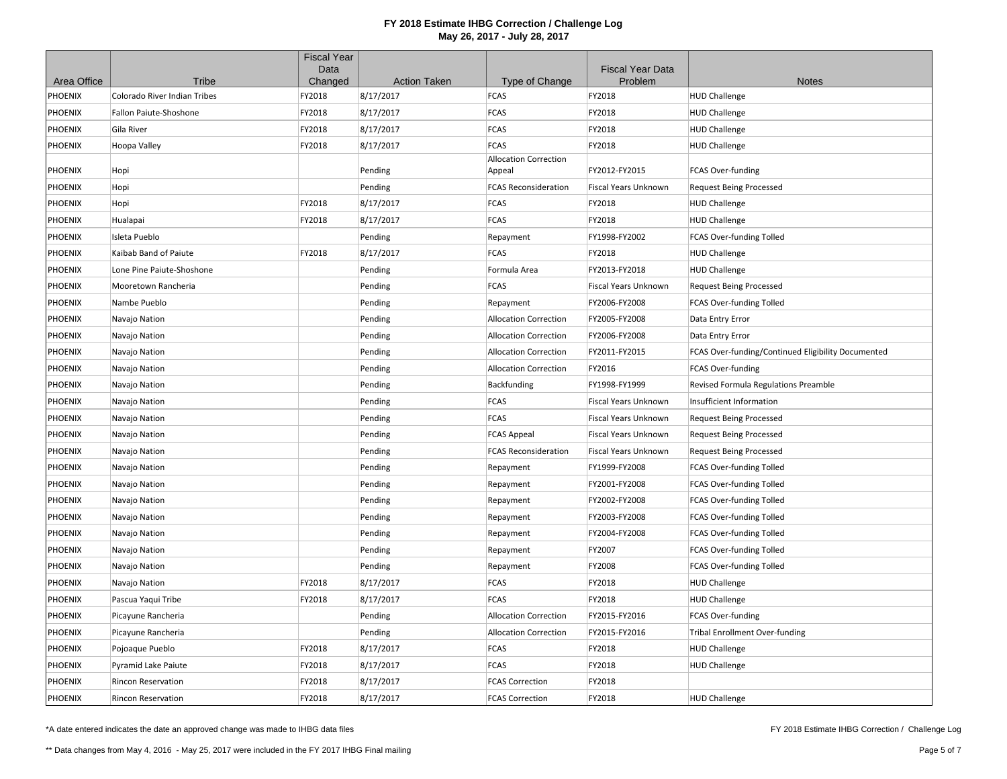|             |                               | <b>Fiscal Year</b> |                     |                                        |                                    |                                                    |
|-------------|-------------------------------|--------------------|---------------------|----------------------------------------|------------------------------------|----------------------------------------------------|
| Area Office | Tribe                         | Data<br>Changed    | <b>Action Taken</b> | Type of Change                         | <b>Fiscal Year Data</b><br>Problem | <b>Notes</b>                                       |
| PHOENIX     | Colorado River Indian Tribes  | FY2018             | 8/17/2017           | <b>FCAS</b>                            | FY2018                             | <b>HUD Challenge</b>                               |
| PHOENIX     | <b>Fallon Paiute-Shoshone</b> | FY2018             | 8/17/2017           | <b>FCAS</b>                            | FY2018                             | <b>HUD Challenge</b>                               |
| PHOENIX     | Gila River                    | FY2018             | 8/17/2017           | <b>FCAS</b>                            | FY2018                             | <b>HUD Challenge</b>                               |
| PHOENIX     | Hoopa Valley                  | FY2018             | 8/17/2017           | <b>FCAS</b>                            | FY2018                             | <b>HUD Challenge</b>                               |
| PHOENIX     | Hopi                          |                    | Pending             | <b>Allocation Correction</b><br>Appeal | FY2012-FY2015                      | FCAS Over-funding                                  |
| PHOENIX     | Hopi                          |                    | Pending             | <b>FCAS Reconsideration</b>            | Fiscal Years Unknown               | <b>Request Being Processed</b>                     |
| PHOENIX     | Hopi                          | FY2018             | 8/17/2017           | <b>FCAS</b>                            | FY2018                             | <b>HUD Challenge</b>                               |
| PHOENIX     | Hualapai                      | FY2018             | 8/17/2017           | <b>FCAS</b>                            | FY2018                             | <b>HUD Challenge</b>                               |
| PHOENIX     | Isleta Pueblo                 |                    | Pending             | Repayment                              | FY1998-FY2002                      | FCAS Over-funding Tolled                           |
| PHOENIX     | Kaibab Band of Paiute         | FY2018             | 8/17/2017           | <b>FCAS</b>                            | FY2018                             | <b>HUD Challenge</b>                               |
| PHOENIX     | Lone Pine Paiute-Shoshone     |                    | Pending             | Formula Area                           | FY2013-FY2018                      | <b>HUD Challenge</b>                               |
| PHOENIX     | Mooretown Rancheria           |                    | Pending             | <b>FCAS</b>                            | Fiscal Years Unknown               | <b>Request Being Processed</b>                     |
| PHOENIX     | Nambe Pueblo                  |                    | Pending             | Repayment                              | FY2006-FY2008                      | FCAS Over-funding Tolled                           |
| PHOENIX     | Navajo Nation                 |                    | Pending             | <b>Allocation Correction</b>           | FY2005-FY2008                      | Data Entry Error                                   |
| PHOENIX     | Navajo Nation                 |                    | Pending             | <b>Allocation Correction</b>           | FY2006-FY2008                      | Data Entry Error                                   |
| PHOENIX     | Navajo Nation                 |                    | Pending             | <b>Allocation Correction</b>           | FY2011-FY2015                      | FCAS Over-funding/Continued Eligibility Documented |
| PHOENIX     | Navajo Nation                 |                    | Pending             | <b>Allocation Correction</b>           | FY2016                             | FCAS Over-funding                                  |
| PHOENIX     | Navajo Nation                 |                    | Pending             | Backfunding                            | FY1998-FY1999                      | Revised Formula Regulations Preamble               |
| PHOENIX     | Navajo Nation                 |                    | Pending             | FCAS                                   | Fiscal Years Unknown               | Insufficient Information                           |
| PHOENIX     | Navajo Nation                 |                    | Pending             | <b>FCAS</b>                            | Fiscal Years Unknown               | <b>Request Being Processed</b>                     |
| PHOENIX     | Navajo Nation                 |                    | Pending             | <b>FCAS Appeal</b>                     | <b>Fiscal Years Unknown</b>        | <b>Request Being Processed</b>                     |
| PHOENIX     | Navajo Nation                 |                    | Pending             | <b>FCAS Reconsideration</b>            | Fiscal Years Unknown               | <b>Request Being Processed</b>                     |
| PHOENIX     | Navajo Nation                 |                    | Pending             | Repayment                              | FY1999-FY2008                      | FCAS Over-funding Tolled                           |
| PHOENIX     | Navajo Nation                 |                    | Pending             | Repayment                              | FY2001-FY2008                      | FCAS Over-funding Tolled                           |
| PHOENIX     | Navajo Nation                 |                    | Pending             | Repayment                              | FY2002-FY2008                      | FCAS Over-funding Tolled                           |
| PHOENIX     | Navajo Nation                 |                    | Pending             | Repayment                              | FY2003-FY2008                      | FCAS Over-funding Tolled                           |
| PHOENIX     | Navajo Nation                 |                    | Pending             | Repayment                              | FY2004-FY2008                      | FCAS Over-funding Tolled                           |
| PHOENIX     | Navajo Nation                 |                    | Pending             | Repayment                              | FY2007                             | FCAS Over-funding Tolled                           |
| PHOENIX     | Navajo Nation                 |                    | Pending             | Repayment                              | FY2008                             | FCAS Over-funding Tolled                           |
| PHOENIX     | Navajo Nation                 | FY2018             | 8/17/2017           | <b>FCAS</b>                            | FY2018                             | <b>HUD Challenge</b>                               |
| PHOENIX     | Pascua Yaqui Tribe            | FY2018             | 8/17/2017           | FCAS                                   | FY2018                             | <b>HUD Challenge</b>                               |
| PHOENIX     | Picayune Rancheria            |                    | Pending             | <b>Allocation Correction</b>           | FY2015-FY2016                      | FCAS Over-funding                                  |
| PHOENIX     | Picayune Rancheria            |                    | Pending             | <b>Allocation Correction</b>           | FY2015-FY2016                      | <b>Tribal Enrollment Over-funding</b>              |
| PHOENIX     | Pojoaque Pueblo               | FY2018             | 8/17/2017           | <b>FCAS</b>                            | FY2018                             | <b>HUD Challenge</b>                               |
| PHOENIX     | Pyramid Lake Paiute           | FY2018             | 8/17/2017           | <b>FCAS</b>                            | FY2018                             | <b>HUD Challenge</b>                               |
| PHOENIX     | <b>Rincon Reservation</b>     | FY2018             | 8/17/2017           | <b>FCAS Correction</b>                 | FY2018                             |                                                    |
| PHOENIX     | <b>Rincon Reservation</b>     | FY2018             | 8/17/2017           | <b>FCAS Correction</b>                 | FY2018                             | <b>HUD Challenge</b>                               |

\*A date entered indicates the date an approved change was made to IHBG data files

FY 2018 Estimate IHBG Correction / Challenge Log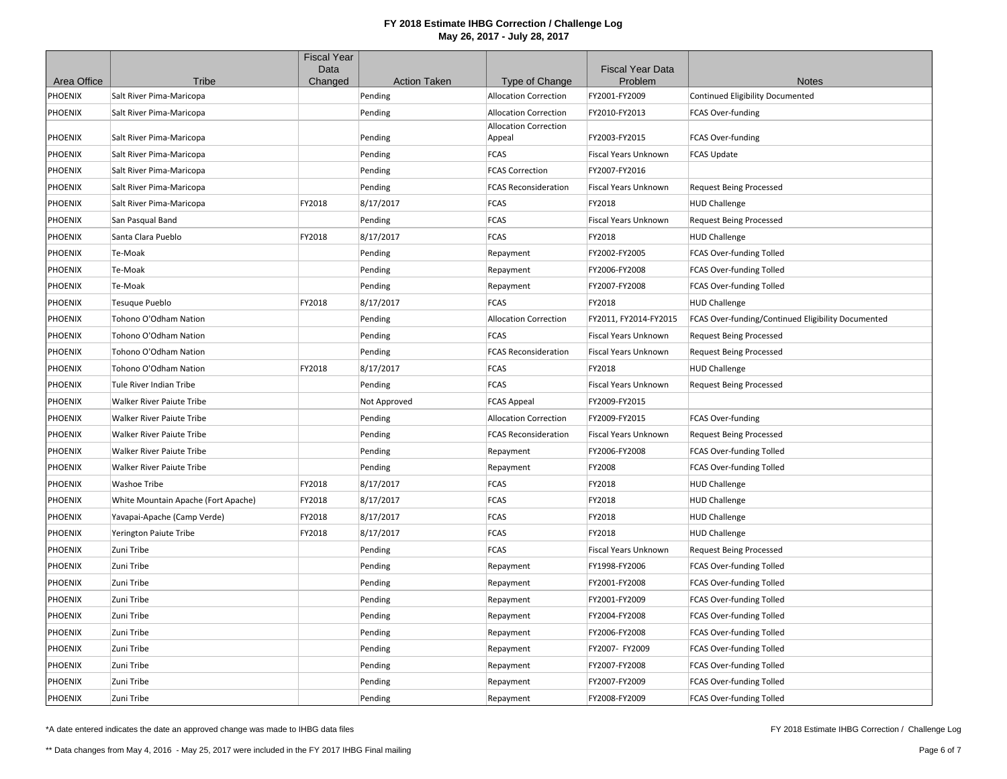|                |                                     | <b>Fiscal Year</b><br>Data |                     |                              | <b>Fiscal Year Data</b> |                                                    |
|----------------|-------------------------------------|----------------------------|---------------------|------------------------------|-------------------------|----------------------------------------------------|
| Area Office    | Tribe                               | Changed                    | <b>Action Taken</b> | Type of Change               | Problem                 | <b>Notes</b>                                       |
| PHOENIX        | Salt River Pima-Maricopa            |                            | Pending             | <b>Allocation Correction</b> | FY2001-FY2009           | <b>Continued Eligibility Documented</b>            |
| PHOENIX        | Salt River Pima-Maricopa            |                            | Pending             | <b>Allocation Correction</b> | FY2010-FY2013           | FCAS Over-funding                                  |
|                |                                     |                            |                     | <b>Allocation Correction</b> |                         |                                                    |
| PHOENIX        | Salt River Pima-Maricopa            |                            | Pending             | Appeal                       | FY2003-FY2015           | FCAS Over-funding                                  |
| PHOENIX        | Salt River Pima-Maricopa            |                            | Pending             | <b>FCAS</b>                  | Fiscal Years Unknown    | <b>FCAS Update</b>                                 |
| PHOENIX        | Salt River Pima-Maricopa            |                            | Pending             | <b>FCAS Correction</b>       | FY2007-FY2016           |                                                    |
| <b>PHOENIX</b> | Salt River Pima-Maricopa            |                            | Pending             | <b>FCAS Reconsideration</b>  | Fiscal Years Unknown    | <b>Request Being Processed</b>                     |
| PHOENIX        | Salt River Pima-Maricopa            | FY2018                     | 8/17/2017           | <b>FCAS</b>                  | FY2018                  | <b>HUD Challenge</b>                               |
| PHOENIX        | San Pasqual Band                    |                            | Pending             | <b>FCAS</b>                  | Fiscal Years Unknown    | <b>Request Being Processed</b>                     |
| PHOENIX        | Santa Clara Pueblo                  | FY2018                     | 8/17/2017           | <b>FCAS</b>                  | FY2018                  | <b>HUD Challenge</b>                               |
| PHOENIX        | Te-Moak                             |                            | Pending             | Repayment                    | FY2002-FY2005           | FCAS Over-funding Tolled                           |
| PHOENIX        | Te-Moak                             |                            | Pending             | Repayment                    | FY2006-FY2008           | FCAS Over-funding Tolled                           |
| PHOENIX        | Te-Moak                             |                            | Pending             | Repayment                    | FY2007-FY2008           | FCAS Over-funding Tolled                           |
| PHOENIX        | <b>Tesuque Pueblo</b>               | FY2018                     | 8/17/2017           | <b>FCAS</b>                  | FY2018                  | <b>HUD Challenge</b>                               |
| PHOENIX        | Tohono O'Odham Nation               |                            | Pending             | <b>Allocation Correction</b> | FY2011, FY2014-FY2015   | FCAS Over-funding/Continued Eligibility Documented |
| <b>PHOENIX</b> | Tohono O'Odham Nation               |                            | Pending             | <b>FCAS</b>                  | Fiscal Years Unknown    | <b>Request Being Processed</b>                     |
| PHOENIX        | Tohono O'Odham Nation               |                            | Pending             | <b>FCAS Reconsideration</b>  | Fiscal Years Unknown    | <b>Request Being Processed</b>                     |
| PHOENIX        | Tohono O'Odham Nation               | FY2018                     | 8/17/2017           | <b>FCAS</b>                  | FY2018                  | <b>HUD Challenge</b>                               |
| PHOENIX        | Tule River Indian Tribe             |                            | Pending             | <b>FCAS</b>                  | Fiscal Years Unknown    | <b>Request Being Processed</b>                     |
| PHOENIX        | Walker River Paiute Tribe           |                            | Not Approved        | <b>FCAS Appeal</b>           | FY2009-FY2015           |                                                    |
| PHOENIX        | Walker River Paiute Tribe           |                            | Pending             | <b>Allocation Correction</b> | FY2009-FY2015           | FCAS Over-funding                                  |
| PHOENIX        | <b>Walker River Paiute Tribe</b>    |                            | Pending             | <b>FCAS Reconsideration</b>  | Fiscal Years Unknown    | <b>Request Being Processed</b>                     |
| PHOENIX        | Walker River Paiute Tribe           |                            | Pending             | Repayment                    | FY2006-FY2008           | FCAS Over-funding Tolled                           |
| PHOENIX        | Walker River Paiute Tribe           |                            | Pending             | Repayment                    | FY2008                  | FCAS Over-funding Tolled                           |
| PHOENIX        | <b>Washoe Tribe</b>                 | FY2018                     | 8/17/2017           | <b>FCAS</b>                  | FY2018                  | <b>HUD Challenge</b>                               |
| PHOENIX        | White Mountain Apache (Fort Apache) | FY2018                     | 8/17/2017           | <b>FCAS</b>                  | FY2018                  | <b>HUD Challenge</b>                               |
| PHOENIX        | Yavapai-Apache (Camp Verde)         | FY2018                     | 8/17/2017           | <b>FCAS</b>                  | FY2018                  | <b>HUD Challenge</b>                               |
| PHOENIX        | Yerington Paiute Tribe              | FY2018                     | 8/17/2017           | <b>FCAS</b>                  | FY2018                  | <b>HUD Challenge</b>                               |
| PHOENIX        | Zuni Tribe                          |                            | Pending             | <b>FCAS</b>                  | Fiscal Years Unknown    | <b>Request Being Processed</b>                     |
| PHOENIX        | Zuni Tribe                          |                            | Pending             | Repayment                    | FY1998-FY2006           | FCAS Over-funding Tolled                           |
| PHOENIX        | Zuni Tribe                          |                            | Pending             | Repayment                    | FY2001-FY2008           | FCAS Over-funding Tolled                           |
| PHOENIX        | Zuni Tribe                          |                            | Pending             | Repayment                    | FY2001-FY2009           | FCAS Over-funding Tolled                           |
| PHOENIX        | Zuni Tribe                          |                            | Pending             | Repayment                    | FY2004-FY2008           | FCAS Over-funding Tolled                           |
| PHOENIX        | Zuni Tribe                          |                            | Pending             | Repayment                    | FY2006-FY2008           | FCAS Over-funding Tolled                           |
| PHOENIX        | Zuni Tribe                          |                            | Pending             | Repayment                    | FY2007- FY2009          | FCAS Over-funding Tolled                           |
| PHOENIX        | Zuni Tribe                          |                            | Pending             | Repayment                    | FY2007-FY2008           | FCAS Over-funding Tolled                           |
| PHOENIX        | Zuni Tribe                          |                            | Pending             | Repayment                    | FY2007-FY2009           | FCAS Over-funding Tolled                           |
| <b>PHOENIX</b> | Zuni Tribe                          |                            | Pending             | Repayment                    | FY2008-FY2009           | FCAS Over-funding Tolled                           |

\*A date entered indicates the date an approved change was made to IHBG data files

FY 2018 Estimate IHBG Correction / Challenge Log